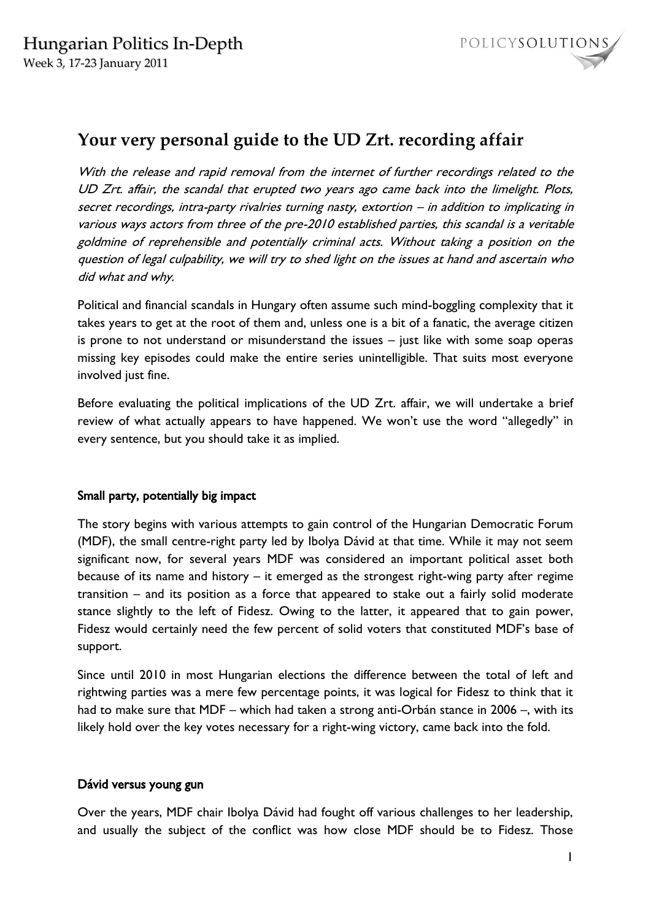

# **Your very personal guide to the UD Zrt. recording affair**

With the release and rapid removal from the internet of further recordings related to the UD Zrt. affair, the scandal that erupted two years ago came back into the limelight. Plots, secret recordings, intra-party rivalries turning nasty, extortion – in addition to implicating in various ways actors from three of the pre-2010 established parties, this scandal is a veritable goldmine of reprehensible and potentially criminal acts. Without taking a position on the question of legal culpability, we will try to shed light on the issues at hand and ascertain who did what and why.

Political and financial scandals in Hungary often assume such mind-boggling complexity that it takes years to get at the root of them and, unless one is a bit of a fanatic, the average citizen is prone to not understand or misunderstand the issues – just like with some soap operas missing key episodes could make the entire series unintelligible. That suits most everyone involved just fine.

Before evaluating the political implications of the UD Zrt. affair, we will undertake a brief review of what actually appears to have happened. We won't use the word "allegedly" in every sentence, but you should take it as implied.

## Small party, potentially big impact

The story begins with various attempts to gain control of the Hungarian Democratic Forum (MDF), the small centre-right party led by Ibolya Dávid at that time. While it may not seem significant now, for several years MDF was considered an important political asset both because of its name and history – it emerged as the strongest right-wing party after regime transition – and its position as a force that appeared to stake out a fairly solid moderate stance slightly to the left of Fidesz. Owing to the latter, it appeared that to gain power, Fidesz would certainly need the few percent of solid voters that constituted MDF's base of support.

Since until 2010 in most Hungarian elections the difference between the total of left and rightwing parties was a mere few percentage points, it was logical for Fidesz to think that it had to make sure that MDF – which had taken a strong anti-Orbán stance in 2006 –, with its likely hold over the key votes necessary for a right-wing victory, came back into the fold.

#### Dávid versus young gun

Over the years, MDF chair Ibolya Dávid had fought off various challenges to her leadership, and usually the subject of the conflict was how close MDF should be to Fidesz. Those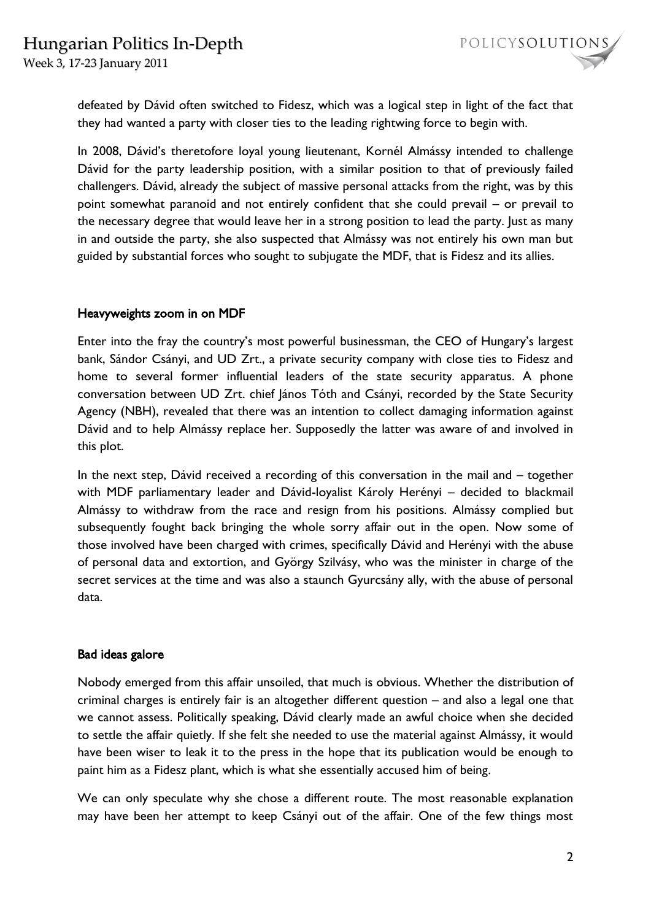Week 3, 17-23 January 2011

defeated by Dávid often switched to Fidesz, which was a logical step in light of the fact that they had wanted a party with closer ties to the leading rightwing force to begin with.

In 2008, Dávid's theretofore loyal young lieutenant, Kornél Almássy intended to challenge Dávid for the party leadership position, with a similar position to that of previously failed challengers. Dávid, already the subject of massive personal attacks from the right, was by this point somewhat paranoid and not entirely confident that she could prevail – or prevail to the necessary degree that would leave her in a strong position to lead the party. Just as many in and outside the party, she also suspected that Almássy was not entirely his own man but guided by substantial forces who sought to subjugate the MDF, that is Fidesz and its allies.

## Heavyweights zoom in on MDF

Enter into the fray the country's most powerful businessman, the CEO of Hungary's largest bank, Sándor Csányi, and UD Zrt., a private security company with close ties to Fidesz and home to several former influential leaders of the state security apparatus. A phone conversation between UD Zrt. chief János Tóth and Csányi, recorded by the State Security Agency (NBH), revealed that there was an intention to collect damaging information against Dávid and to help Almássy replace her. Supposedly the latter was aware of and involved in this plot.

In the next step, Dávid received a recording of this conversation in the mail and – together with MDF parliamentary leader and Dávid-loyalist Károly Herényi – decided to blackmail Almássy to withdraw from the race and resign from his positions. Almássy complied but subsequently fought back bringing the whole sorry affair out in the open. Now some of those involved have been charged with crimes, specifically Dávid and Herényi with the abuse of personal data and extortion, and György Szilvásy, who was the minister in charge of the secret services at the time and was also a staunch Gyurcsány ally, with the abuse of personal data.

## Bad ideas galore

Nobody emerged from this affair unsoiled, that much is obvious. Whether the distribution of criminal charges is entirely fair is an altogether different question – and also a legal one that we cannot assess. Politically speaking, Dávid clearly made an awful choice when she decided to settle the affair quietly. If she felt she needed to use the material against Almássy, it would have been wiser to leak it to the press in the hope that its publication would be enough to paint him as a Fidesz plant, which is what she essentially accused him of being.

We can only speculate why she chose a different route. The most reasonable explanation may have been her attempt to keep Csányi out of the affair. One of the few things most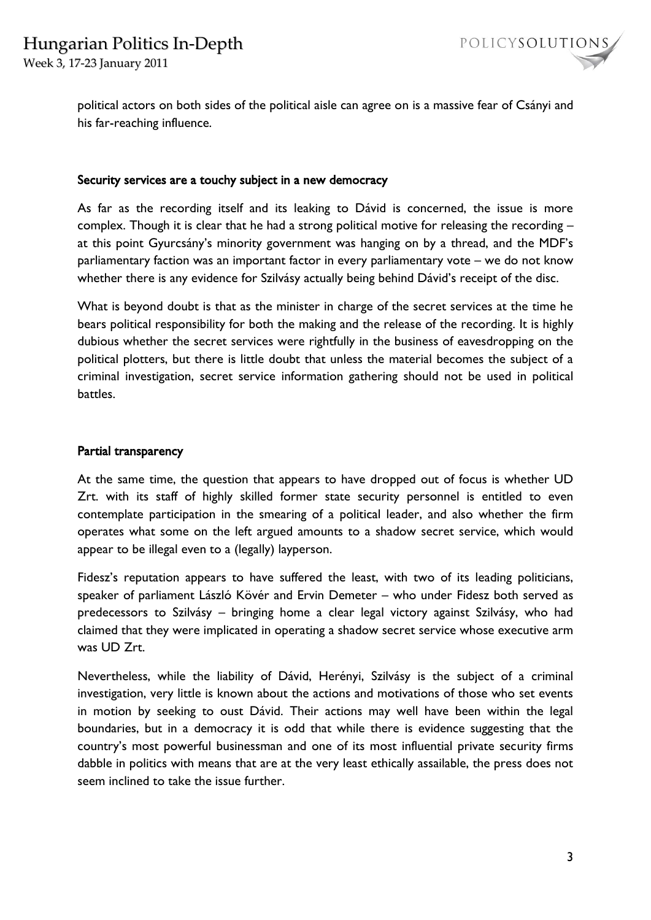Week 3, 17-23 January 2011



political actors on both sides of the political aisle can agree on is a massive fear of Csányi and his far-reaching influence.

#### Security services are a touchy subject in a new democracy

As far as the recording itself and its leaking to Dávid is concerned, the issue is more complex. Though it is clear that he had a strong political motive for releasing the recording – at this point Gyurcsány's minority government was hanging on by a thread, and the MDF's parliamentary faction was an important factor in every parliamentary vote – we do not know whether there is any evidence for Szilvásy actually being behind Dávid's receipt of the disc.

What is beyond doubt is that as the minister in charge of the secret services at the time he bears political responsibility for both the making and the release of the recording. It is highly dubious whether the secret services were rightfully in the business of eavesdropping on the political plotters, but there is little doubt that unless the material becomes the subject of a criminal investigation, secret service information gathering should not be used in political battles.

#### Partial transparency

At the same time, the question that appears to have dropped out of focus is whether UD Zrt. with its staff of highly skilled former state security personnel is entitled to even contemplate participation in the smearing of a political leader, and also whether the firm operates what some on the left argued amounts to a shadow secret service, which would appear to be illegal even to a (legally) layperson.

Fidesz's reputation appears to have suffered the least, with two of its leading politicians, speaker of parliament László Kövér and Ervin Demeter – who under Fidesz both served as predecessors to Szilvásy – bringing home a clear legal victory against Szilvásy, who had claimed that they were implicated in operating a shadow secret service whose executive arm was UD Zrt.

Nevertheless, while the liability of Dávid, Herényi, Szilvásy is the subject of a criminal investigation, very little is known about the actions and motivations of those who set events in motion by seeking to oust Dávid. Their actions may well have been within the legal boundaries, but in a democracy it is odd that while there is evidence suggesting that the country's most powerful businessman and one of its most influential private security firms dabble in politics with means that are at the very least ethically assailable, the press does not seem inclined to take the issue further.